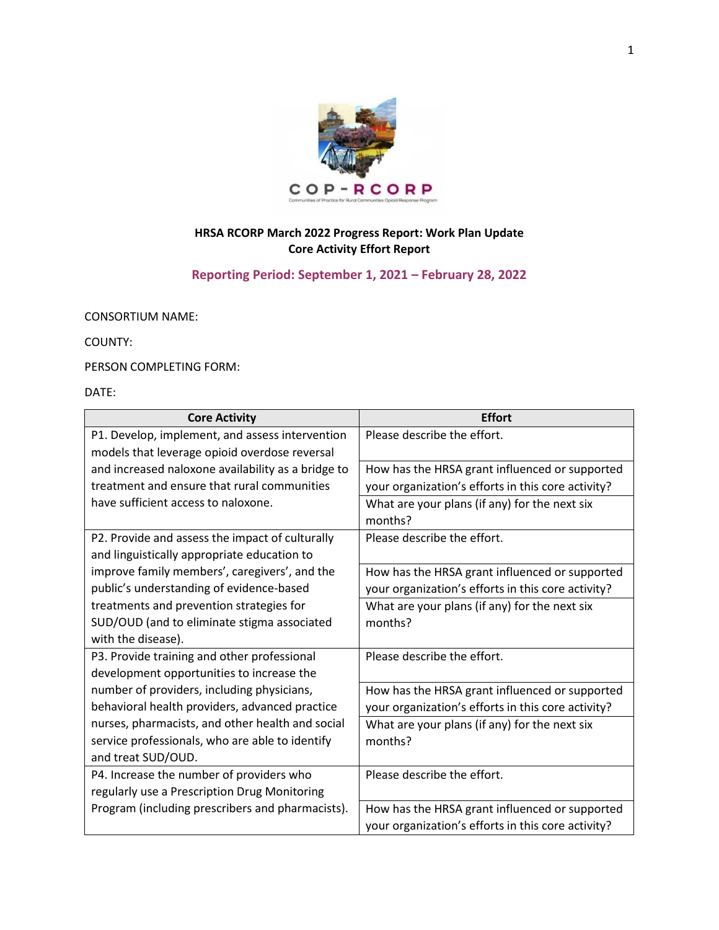

## **HRSA RCORP March 2022 Progress Report: Work Plan Update Core Activity Effort Report**

## **Reporting Period: September 1, 2021 – February 28, 2022**

CONSORTIUM NAME:

COUNTY:

PERSON COMPLETING FORM:

DATE:

| <b>Core Activity</b>                               | <b>Effort</b>                                      |
|----------------------------------------------------|----------------------------------------------------|
| P1. Develop, implement, and assess intervention    | Please describe the effort.                        |
| models that leverage opioid overdose reversal      |                                                    |
| and increased naloxone availability as a bridge to | How has the HRSA grant influenced or supported     |
| treatment and ensure that rural communities        | your organization's efforts in this core activity? |
| have sufficient access to naloxone.                | What are your plans (if any) for the next six      |
|                                                    | months?                                            |
| P2. Provide and assess the impact of culturally    | Please describe the effort.                        |
| and linguistically appropriate education to        |                                                    |
| improve family members', caregivers', and the      | How has the HRSA grant influenced or supported     |
| public's understanding of evidence-based           | your organization's efforts in this core activity? |
| treatments and prevention strategies for           | What are your plans (if any) for the next six      |
| SUD/OUD (and to eliminate stigma associated        | months?                                            |
| with the disease).                                 |                                                    |
| P3. Provide training and other professional        | Please describe the effort.                        |
| development opportunities to increase the          |                                                    |
| number of providers, including physicians,         | How has the HRSA grant influenced or supported     |
| behavioral health providers, advanced practice     | your organization's efforts in this core activity? |
| nurses, pharmacists, and other health and social   | What are your plans (if any) for the next six      |
| service professionals, who are able to identify    | months?                                            |
| and treat SUD/OUD.                                 |                                                    |
| P4. Increase the number of providers who           | Please describe the effort.                        |
| regularly use a Prescription Drug Monitoring       |                                                    |
| Program (including prescribers and pharmacists).   | How has the HRSA grant influenced or supported     |
|                                                    | your organization's efforts in this core activity? |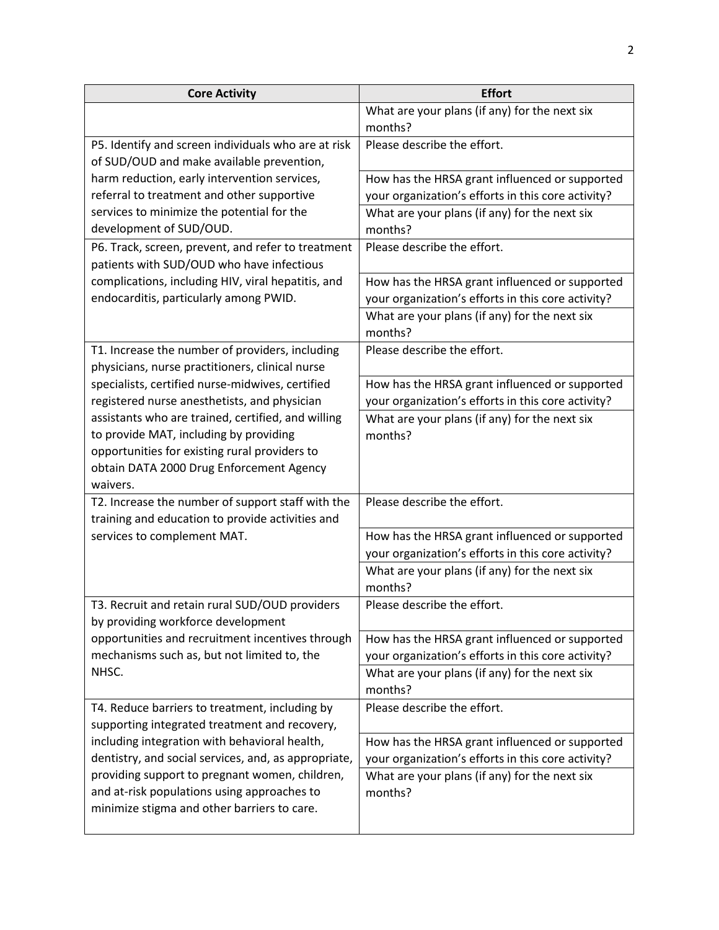| <b>Core Activity</b>                                                                               | <b>Effort</b>                                            |
|----------------------------------------------------------------------------------------------------|----------------------------------------------------------|
|                                                                                                    | What are your plans (if any) for the next six            |
|                                                                                                    | months?                                                  |
| P5. Identify and screen individuals who are at risk<br>of SUD/OUD and make available prevention,   | Please describe the effort.                              |
| harm reduction, early intervention services,                                                       | How has the HRSA grant influenced or supported           |
| referral to treatment and other supportive                                                         | your organization's efforts in this core activity?       |
| services to minimize the potential for the<br>development of SUD/OUD.                              | What are your plans (if any) for the next six<br>months? |
| P6. Track, screen, prevent, and refer to treatment<br>patients with SUD/OUD who have infectious    | Please describe the effort.                              |
| complications, including HIV, viral hepatitis, and                                                 | How has the HRSA grant influenced or supported           |
| endocarditis, particularly among PWID.                                                             | your organization's efforts in this core activity?       |
|                                                                                                    | What are your plans (if any) for the next six<br>months? |
| T1. Increase the number of providers, including<br>physicians, nurse practitioners, clinical nurse | Please describe the effort.                              |
| specialists, certified nurse-midwives, certified                                                   | How has the HRSA grant influenced or supported           |
| registered nurse anesthetists, and physician                                                       | your organization's efforts in this core activity?       |
| assistants who are trained, certified, and willing                                                 | What are your plans (if any) for the next six            |
| to provide MAT, including by providing                                                             | months?                                                  |
| opportunities for existing rural providers to                                                      |                                                          |
| obtain DATA 2000 Drug Enforcement Agency<br>waivers.                                               |                                                          |
| T2. Increase the number of support staff with the                                                  | Please describe the effort.                              |
| training and education to provide activities and                                                   |                                                          |
| services to complement MAT.                                                                        | How has the HRSA grant influenced or supported           |
|                                                                                                    | your organization's efforts in this core activity?       |
|                                                                                                    | What are your plans (if any) for the next six            |
|                                                                                                    | months?                                                  |
| T3. Recruit and retain rural SUD/OUD providers<br>by providing workforce development               | Please describe the effort.                              |
| opportunities and recruitment incentives through                                                   | How has the HRSA grant influenced or supported           |
| mechanisms such as, but not limited to, the                                                        | your organization's efforts in this core activity?       |
| NHSC.                                                                                              | What are your plans (if any) for the next six<br>months? |
| T4. Reduce barriers to treatment, including by<br>supporting integrated treatment and recovery,    | Please describe the effort.                              |
| including integration with behavioral health,                                                      | How has the HRSA grant influenced or supported           |
| dentistry, and social services, and, as appropriate,                                               | your organization's efforts in this core activity?       |
| providing support to pregnant women, children,                                                     | What are your plans (if any) for the next six            |
| and at-risk populations using approaches to                                                        | months?                                                  |
| minimize stigma and other barriers to care.                                                        |                                                          |
|                                                                                                    |                                                          |